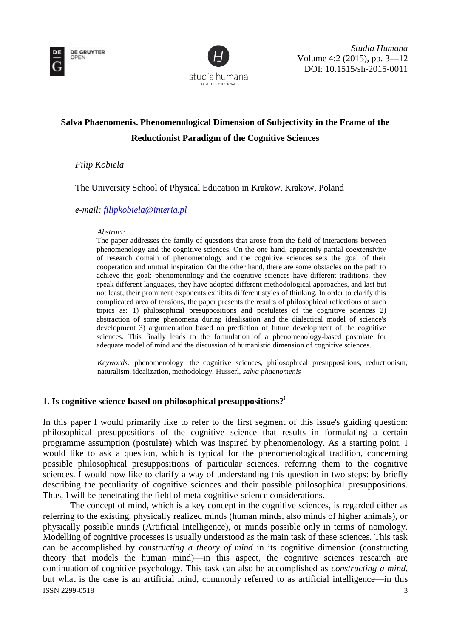



# **Salva Phaenomenis. Phenomenological Dimension of Subjectivity in the Frame of the Reductionist Paradigm of the Cognitive Sciences**

*Filip Kobiela*

The University School of Physical Education in Krakow, Krakow, Poland

*e-mail: [filipkobiela@interia.pl](mailto:filipkobiela@interia.pl)*

#### *Abstract:*

The paper addresses the family of questions that arose from the field of interactions between phenomenology and the cognitive sciences. On the one hand, apparently partial coextensivity of research domain of phenomenology and the cognitive sciences sets the goal of their cooperation and mutual inspiration. On the other hand, there are some obstacles on the path to achieve this goal: phenomenology and the cognitive sciences have different traditions, they speak different languages, they have adopted different methodological approaches, and last but not least, their prominent exponents exhibits different styles of thinking. In order to clarify this complicated area of tensions, the paper presents the results of philosophical reflections of such topics as: 1) philosophical presuppositions and postulates of the cognitive sciences 2) abstraction of some phenomena during idealisation and the dialectical model of science's development 3) argumentation based on prediction of future development of the cognitive sciences. This finally leads to the formulation of a phenomenology-based postulate for adequate model of mind and the discussion of humanistic dimension of cognitive sciences.

*Keywords:* phenomenology, the cognitive sciences, philosophical presuppositions, reductionism, naturalism, idealization, methodology, Husserl, *salva phaenomenis*

# **1. Is cognitive science based on philosophical presuppositions?**<sup>i</sup>

In this paper I would primarily like to refer to the first segment of this issue's guiding question: philosophical presuppositions of the cognitive science that results in formulating a certain programme assumption (postulate) which was inspired by phenomenology. As a starting point, I would like to ask a question, which is typical for the phenomenological tradition, concerning possible philosophical presuppositions of particular sciences, referring them to the cognitive sciences. I would now like to clarify a way of understanding this question in two steps: by briefly describing the peculiarity of cognitive sciences and their possible philosophical presuppositions. Thus, I will be penetrating the field of meta-cognitive-science considerations.

ISSN 2299-0518 3 The concept of mind, which is a key concept in the cognitive sciences, is regarded either as referring to the existing, physically realized minds (human minds, also minds of higher animals), or physically possible minds (Artificial Intelligence), or minds possible only in terms of nomology. Modelling of cognitive processes is usually understood as the main task of these sciences. This task can be accomplished by *constructing a theory of mind* in its cognitive dimension (constructing theory that models the human mind)—in this aspect, the cognitive sciences research are continuation of cognitive psychology. This task can also be accomplished as *constructing a mind*, but what is the case is an artificial mind, commonly referred to as artificial intelligence—in this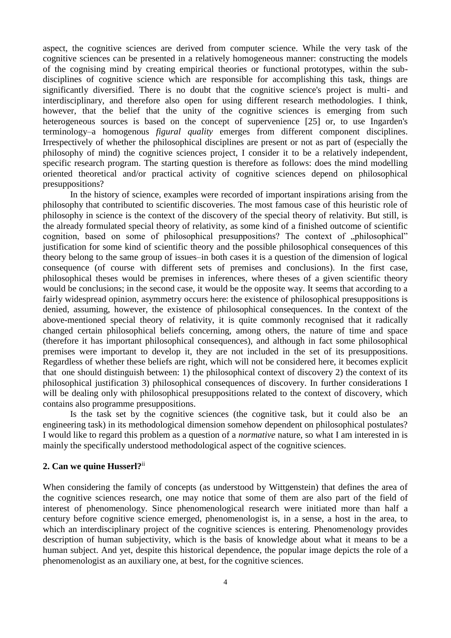aspect, the cognitive sciences are derived from computer science. While the very task of the cognitive sciences can be presented in a relatively homogeneous manner: constructing the models of the cognising mind by creating empirical theories or functional prototypes, within the subdisciplines of cognitive science which are responsible for accomplishing this task, things are significantly diversified. There is no doubt that the cognitive science's project is multi- and interdisciplinary, and therefore also open for using different research methodologies. I think, however, that the belief that the unity of the cognitive sciences is emerging from such heterogeneous sources is based on the concept of supervenience [25] or, to use Ingarden's terminology–a homogenous *figural quality* emerges from different component disciplines. Irrespectively of whether the philosophical disciplines are present or not as part of (especially the philosophy of mind) the cognitive sciences project, I consider it to be a relatively independent, specific research program. The starting question is therefore as follows: does the mind modelling oriented theoretical and/or practical activity of cognitive sciences depend on philosophical presuppositions?

In the history of science, examples were recorded of important inspirations arising from the philosophy that contributed to scientific discoveries. The most famous case of this heuristic role of philosophy in science is the context of the discovery of the special theory of relativity. But still, is the already formulated special theory of relativity, as some kind of a finished outcome of scientific cognition, based on some of philosophical presuppositions? The context of .philosophical" justification for some kind of scientific theory and the possible philosophical consequences of this theory belong to the same group of issues–in both cases it is a question of the dimension of logical consequence (of course with different sets of premises and conclusions). In the first case, philosophical theses would be premises in inferences, where theses of a given scientific theory would be conclusions; in the second case, it would be the opposite way. It seems that according to a fairly widespread opinion, asymmetry occurs here: the existence of philosophical presuppositions is denied, assuming, however, the existence of philosophical consequences. In the context of the above-mentioned special theory of relativity, it is quite commonly recognised that it radically changed certain philosophical beliefs concerning, among others, the nature of time and space (therefore it has important philosophical consequences), and although in fact some philosophical premises were important to develop it, they are not included in the set of its presuppositions. Regardless of whether these beliefs are right, which will not be considered here, it becomes explicit that one should distinguish between: 1) the philosophical context of discovery 2) the context of its philosophical justification 3) philosophical consequences of discovery. In further considerations I will be dealing only with philosophical presuppositions related to the context of discovery, which contains also programme presuppositions.

Is the task set by the cognitive sciences (the cognitive task, but it could also be an engineering task) in its methodological dimension somehow dependent on philosophical postulates? I would like to regard this problem as a question of a *normative* nature, so what I am interested in is mainly the specifically understood methodological aspect of the cognitive sciences.

## **2. Can we quine Husserl?**ii

When considering the family of concepts (as understood by Wittgenstein) that defines the area of the cognitive sciences research, one may notice that some of them are also part of the field of interest of phenomenology. Since phenomenological research were initiated more than half a century before cognitive science emerged, phenomenologist is, in a sense, a host in the area, to which an interdisciplinary project of the cognitive sciences is entering. Phenomenology provides description of human subjectivity, which is the basis of knowledge about what it means to be a human subject. And yet, despite this historical dependence, the popular image depicts the role of a phenomenologist as an auxiliary one, at best, for the cognitive sciences.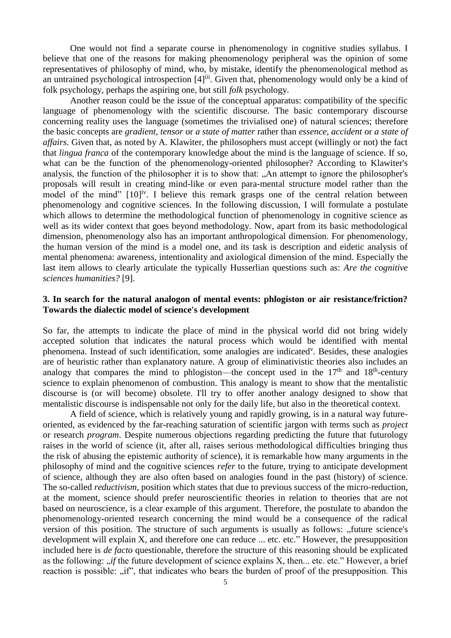One would not find a separate course in phenomenology in cognitive studies syllabus. I believe that one of the reasons for making phenomenology peripheral was the opinion of some representatives of philosophy of mind, who, by mistake, identify the phenomenological method as an untrained psychological introspection [4]<sup>iii</sup>. Given that, phenomenology would only be a kind of folk psychology, perhaps the aspiring one, but still *folk* psychology.

Another reason could be the issue of the conceptual apparatus: compatibility of the specific language of phenomenology with the scientific discourse. The basic contemporary discourse concerning reality uses the language (sometimes the trivialised one) of natural sciences; therefore the basic concepts are *gradient*, *tensor* or *a state of matter* rather than *essence*, *accident* or *a state of affairs*. Given that, as noted by A. Klawiter, the philosophers must accept (willingly or not) the fact that *lingua franca* of the contemporary knowledge about the mind is the language of science. If so, what can be the function of the phenomenology-oriented philosopher? According to Klawiter's analysis, the function of the philosopher it is to show that: "An attempt to ignore the philosopher's proposals will result in creating mind-like or even para-mental structure model rather than the model of the mind" [10]<sup>iv</sup>. I believe this remark grasps one of the central relation between phenomenology and cognitive sciences. In the following discussion, I will formulate a postulate which allows to determine the methodological function of phenomenology in cognitive science as well as its wider context that goes beyond methodology. Now, apart from its basic methodological dimension, phenomenology also has an important anthropological dimension. For phenomenology, the human version of the mind is a model one, and its task is description and eidetic analysis of mental phenomena: awareness, intentionality and axiological dimension of the mind. Especially the last item allows to clearly articulate the typically Husserlian questions such as: *Are the cognitive sciences humanities?* [9].

# **3. In search for the natural analogon of mental events: phlogiston or air resistance/friction? Towards the dialectic model of science's development**

So far, the attempts to indicate the place of mind in the physical world did not bring widely accepted solution that indicates the natural process which would be identified with mental phenomena. Instead of such identification, some analogies are indicated<sup>v</sup>. Besides, these analogies are of heuristic rather than explanatory nature. A group of eliminativistic theories also includes an analogy that compares the mind to phlogiston—the concept used in the  $17<sup>th</sup>$  and  $18<sup>th</sup>$ -century science to explain phenomenon of combustion. This analogy is meant to show that the mentalistic discourse is (or will become) obsolete. I'll try to offer another analogy designed to show that mentalistic discourse is indispensable not only for the daily life, but also in the theoretical context.

A field of science, which is relatively young and rapidly growing, is in a natural way futureoriented, as evidenced by the far-reaching saturation of scientific jargon with terms such as *project* or research *program*. Despite numerous objections regarding predicting the future that futurology raises in the world of science (it, after all, raises serious methodological difficulties bringing thus the risk of abusing the epistemic authority of science), it is remarkable how many arguments in the philosophy of mind and the cognitive sciences *refer* to the future, trying to anticipate development of science, although they are also often based on analogies found in the past (history) of science. The so-called *reductivism*, position which states that due to previous success of the micro-reduction, at the moment, science should prefer neuroscientific theories in relation to theories that are not based on neuroscience, is a clear example of this argument. Therefore, the postulate to abandon the phenomenology-oriented research concerning the mind would be a consequence of the radical version of this position. The structure of such arguments is usually as follows: "future science's development will explain X, and therefore one can reduce ... etc. etc." However, the presupposition included here is *de facto* questionable, therefore the structure of this reasoning should be explicated as the following: *"if* the future development of science explains X, then... etc. etc." However, a brief reaction is possible: "if", that indicates who bears the burden of proof of the presupposition. This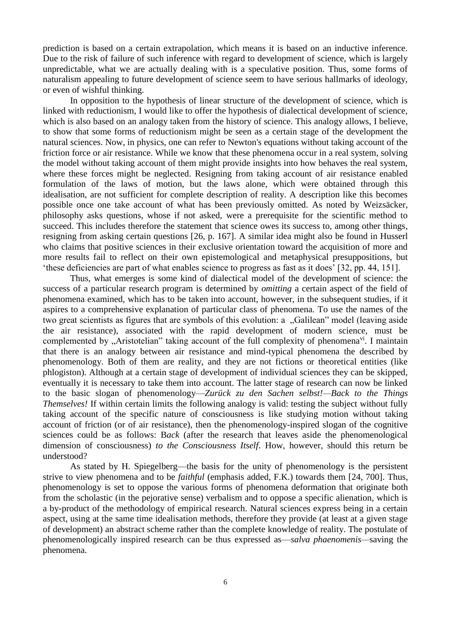prediction is based on a certain extrapolation, which means it is based on an inductive inference. Due to the risk of failure of such inference with regard to development of science, which is largely unpredictable, what we are actually dealing with is a speculative position. Thus, some forms of naturalism appealing to future development of science seem to have serious hallmarks of ideology, or even of wishful thinking.

In opposition to the hypothesis of linear structure of the development of science, which is linked with reductionism, I would like to offer the hypothesis of dialectical development of science, which is also based on an analogy taken from the history of science. This analogy allows, I believe, to show that some forms of reductionism might be seen as a certain stage of the development the natural sciences. Now, in physics, one can refer to Newton's equations without taking account of the friction force or air resistance. While we know that these phenomena occur in a real system, solving the model without taking account of them might provide insights into how behaves the real system, where these forces might be neglected. Resigning from taking account of air resistance enabled formulation of the laws of motion, but the laws alone, which were obtained through this idealisation, are not sufficient for complete description of reality. A description like this becomes possible once one take account of what has been previously omitted. As noted by Weizsäcker, philosophy asks questions, whose if not asked, were a prerequisite for the scientific method to succeed. This includes therefore the statement that science owes its success to, among other things, resigning from asking certain questions [26, p. 167]. A similar idea might also be found in Husserl who claims that positive sciences in their exclusive orientation toward the acquisition of more and more results fail to reflect on their own epistemological and metaphysical presuppositions, but 'these deficiencies are part of what enables science to progress as fast as it does' [32, pp. 44, 151].

Thus, what emerges is some kind of dialectical model of the development of science: the success of a particular research program is determined by *omitting* a certain aspect of the field of phenomena examined, which has to be taken into account, however, in the subsequent studies, if it aspires to a comprehensive explanation of particular class of phenomena. To use the names of the two great scientists as figures that are symbols of this evolution: a "Galilean" model (leaving aside the air resistance), associated with the rapid development of modern science, must be complemented by  $\alpha$ Aristotelian" taking account of the full complexity of phenomena<sup>vi</sup>. I maintain that there is an analogy between air resistance and mind-typical phenomena the described by phenomenology. Both of them are reality, and they are not fictions or theoretical entities (like phlogiston). Although at a certain stage of development of individual sciences they can be skipped, eventually it is necessary to take them into account. The latter stage of research can now be linked to the basic slogan of phenomenology—*Zurück zu den Sachen selbst!—Back to the Things Themselves!* If within certain limits the following analogy is valid: testing the subject without fully taking account of the specific nature of consciousness is like studying motion without taking account of friction (or of air resistance), then the phenomenology-inspired slogan of the cognitive sciences could be as follows: B*ack* (after the research that leaves aside the phenomenological dimension of consciousness) *to the Consciousness Itself*. How, however, should this return be understood?

As stated by H. Spiegelberg—the basis for the unity of phenomenology is the persistent strive to view phenomena and to be *faithful* (emphasis added, F.K.) towards them [24, 700]. Thus, phenomenology is set to oppose the various forms of phenomena deformation that originate both from the scholastic (in the pejorative sense) verbalism and to oppose a specific alienation, which is a by-product of the methodology of empirical research. Natural sciences express being in a certain aspect, using at the same time idealisation methods, therefore they provide (at least at a given stage of development) an abstract scheme rather than the complete knowledge of reality. The postulate of phenomenologically inspired research can be thus expressed as—*salva phaenomenis—*saving the phenomena.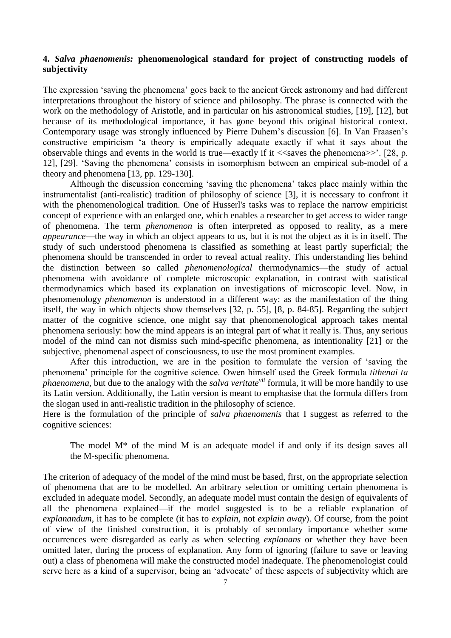## **4.** *Salva phaenomenis:* **phenomenological standard for project of constructing models of subjectivity**

The expression 'saving the phenomena' goes back to the ancient Greek astronomy and had different interpretations throughout the history of science and philosophy. The phrase is connected with the work on the methodology of Aristotle, and in particular on his astronomical studies, [19], [12], but because of its methodological importance, it has gone beyond this original historical context. Contemporary usage was strongly influenced by Pierre Duhem's discussion [6]. In Van Fraasen's constructive empiricism 'a theory is empirically adequate exactly if what it says about the observable things and events in the world is true—exactly if it  $\ll$ saves the phenomena $\gg$ . [28, p. 12], [29]. 'Saving the phenomena' consists in isomorphism between an empirical sub-model of a theory and phenomena [13, pp. 129-130].

Although the discussion concerning 'saving the phenomena' takes place mainly within the instrumentalist (anti-realistic) tradition of philosophy of science [3], it is necessary to confront it with the phenomenological tradition. One of Husserl's tasks was to replace the narrow empiricist concept of experience with an enlarged one, which enables a researcher to get access to wider range of phenomena. The term *phenomenon* is often interpreted as opposed to reality, as a mere *appearance*—the way in which an object appears to us, but it is not the object as it is in itself. The study of such understood phenomena is classified as something at least partly superficial; the phenomena should be transcended in order to reveal actual reality. This understanding lies behind the distinction between so called *phenomenological* thermodynamics—the study of actual phenomena with avoidance of complete microscopic explanation, in contrast with statistical thermodynamics which based its explanation on investigations of microscopic level. Now, in phenomenology *phenomenon* is understood in a different way: as the manifestation of the thing itself, the way in which objects show themselves [32, p. 55], [8, p. 84-85]. Regarding the subject matter of the cognitive science, one might say that phenomenological approach takes mental phenomena seriously: how the mind appears is an integral part of what it really is. Thus, any serious model of the mind can not dismiss such mind-specific phenomena, as intentionality [21] or the subjective, phenomenal aspect of consciousness, to use the most prominent examples.

After this introduction, we are in the position to formulate the version of 'saving the phenomena' principle for the cognitive science. Owen himself used the Greek formula *tithenai ta phaenomena*, but due to the analogy with the *salva veritate<sup>vii</sup>* formula, it will be more handily to use its Latin version. Additionally, the Latin version is meant to emphasise that the formula differs from the slogan used in anti-realistic tradition in the philosophy of science.

Here is the formulation of the principle of *salva phaenomenis* that I suggest as referred to the cognitive sciences:

The model  $M^*$  of the mind M is an adequate model if and only if its design saves all the M-specific phenomena.

The criterion of adequacy of the model of the mind must be based, first, on the appropriate selection of phenomena that are to be modelled. An arbitrary selection or omitting certain phenomena is excluded in adequate model. Secondly, an adequate model must contain the design of equivalents of all the phenomena explained—if the model suggested is to be a reliable explanation of *explanandum*, it has to be complete (it has to *explain*, not *explain away*). Of course, from the point of view of the finished construction, it is probably of secondary importance whether some occurrences were disregarded as early as when selecting *explanans* or whether they have been omitted later, during the process of explanation. Any form of ignoring (failure to save or leaving out) a class of phenomena will make the constructed model inadequate. The phenomenologist could serve here as a kind of a supervisor, being an 'advocate' of these aspects of subjectivity which are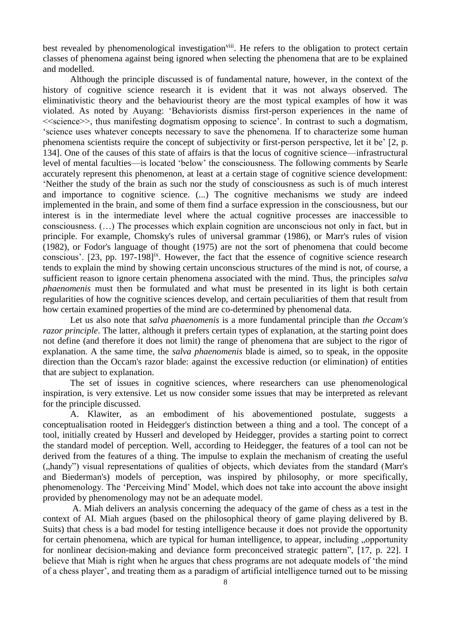best revealed by phenomenological investigation<sup>viii</sup>. He refers to the obligation to protect certain classes of phenomena against being ignored when selecting the phenomena that are to be explained and modelled.

Although the principle discussed is of fundamental nature, however, in the context of the history of cognitive science research it is evident that it was not always observed. The eliminativistic theory and the behaviourist theory are the most typical examples of how it was violated. As noted by Auyang: 'Behaviorists dismiss first-person experiences in the name of  $\leq$ science $\geq$ , thus manifesting dogmatism opposing to science'. In contrast to such a dogmatism, 'science uses whatever concepts necessary to save the phenomena. If to characterize some human phenomena scientists require the concept of subjectivity or first-person perspective, let it be' [2, p. 134]. One of the causes of this state of affairs is that the locus of cognitive science—infrastructural level of mental faculties—is located 'below' the consciousness. The following comments by Searle accurately represent this phenomenon, at least at a certain stage of cognitive science development: 'Neither the study of the brain as such nor the study of consciousness as such is of much interest and importance to cognitive science. (...) The cognitive mechanisms we study are indeed implemented in the brain, and some of them find a surface expression in the consciousness, but our interest is in the intermediate level where the actual cognitive processes are inaccessible to consciousness. (…) The processes which explain cognition are unconscious not only in fact, but in principle. For example, Chomsky's rules of universal grammar (1986), or Marr's rules of vision (1982), or Fodor's language of thought (1975) are not the sort of phenomena that could become conscious'. [23, pp. 197-198]<sup>ix</sup>. However, the fact that the essence of cognitive science research tends to explain the mind by showing certain unconscious structures of the mind is not, of course, a sufficient reason to ignore certain phenomena associated with the mind. Thus, the principles *salva phaenomenis* must then be formulated and what must be presented in its light is both certain regularities of how the cognitive sciences develop, and certain peculiarities of them that result from how certain examined properties of the mind are co-determined by phenomenal data.

Let us also note that *salva phaenomenis* is a more fundamental principle than *the Occam's razor principle*. The latter, although it prefers certain types of explanation, at the starting point does not define (and therefore it does not limit) the range of phenomena that are subject to the rigor of explanation. A the same time, the *salva phaenomenis* blade is aimed, so to speak, in the opposite direction than the Occam's razor blade: against the excessive reduction (or elimination) of entities that are subject to explanation.

The set of issues in cognitive sciences, where researchers can use phenomenological inspiration, is very extensive. Let us now consider some issues that may be interpreted as relevant for the principle discussed.

A. Klawiter, as an embodiment of his abovementioned postulate, suggests a conceptualisation rooted in Heidegger's distinction between a thing and a tool. The concept of a tool, initially created by Husserl and developed by Heidegger, provides a starting point to correct the standard model of perception. Well, according to Heidegger, the features of a tool can not be derived from the features of a thing. The impulse to explain the mechanism of creating the useful ("handy") visual representations of qualities of objects, which deviates from the standard (Marr's) and Biederman's) models of perception, was inspired by philosophy, or more specifically, phenomenology. The 'Perceiving Mind' Model, which does not take into account the above insight provided by phenomenology may not be an adequate model.

A. Miah delivers an analysis concerning the adequacy of the game of chess as a test in the context of AI. Miah argues (based on the philosophical theory of game playing delivered by B. Suits) that chess is a bad model for testing intelligence because it does not provide the opportunity for certain phenomena, which are typical for human intelligence, to appear, including "opportunity for nonlinear decision-making and deviance form preconceived strategic pattern", [17, p. 22]. I believe that Miah is right when he argues that chess programs are not adequate models of 'the mind of a chess player', and treating them as a paradigm of artificial intelligence turned out to be missing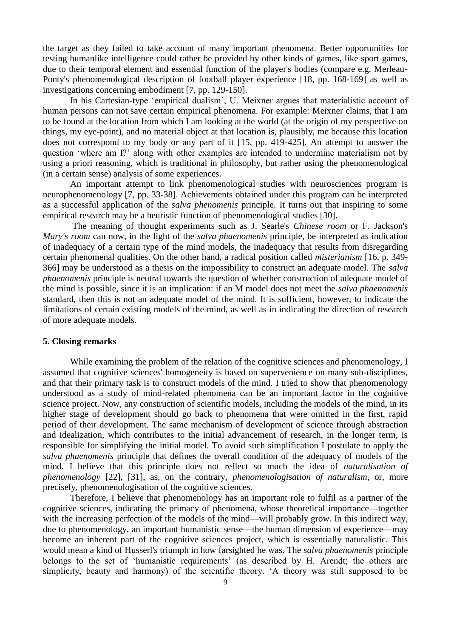the target as they failed to take account of many important phenomena. Better opportunities for testing humanlike intelligence could rather be provided by other kinds of games, like sport games, due to their temporal element and essential function of the player's bodies (compare e.g. Merleau-Ponty's phenomenological description of football player experience [18, pp. 168-169] as well as investigations concerning embodiment [7, pp. 129-150].

In his Cartesian-type 'empirical dualism', U. Meixner argues that materialistic account of human persons can not save certain empirical phenomena. For example: Meixner claims, that I am to be found at the location from which I am looking at the world (at the origin of my perspective on things, my eye-point), and no material object at that location is, plausibly, me because this location does not correspond to my body or any part of it [15, pp. 419-425]. An attempt to answer the question 'where am I?' along with other examples are intended to undermine materialism not by using a priori reasoning, which is traditional in philosophy, but rather using the phenomenological (in a certain sense) analysis of some experiences.

An important attempt to link phenomenological studies with neurosciences program is neurophenomenology [7, pp. 33-38]. Achievements obtained under this program can be interpreted as a successful application of the *salva phenomenis* principle. It turns out that inspiring to some empirical research may be a heuristic function of phenomenological studies [30].

The meaning of thought experiments such as J. Searle's *Chinese room* or F. Jackson's *Mary's room* can now, in the light of the *salva phaenomenis* principle, be interpreted as indication of inadequacy of a certain type of the mind models, the inadequacy that results from disregarding certain phenomenal qualities. On the other hand, a radical position called *misterianism* [16, p. 349- 366] may be understood as a thesis on the impossibility to construct an adequate model. The *salva phaenomenis* principle is neutral towards the question of whether construction of adequate model of the mind is possible, since it is an implication: if an M model does not meet the *salva phaenomenis* standard, then this is not an adequate model of the mind. It is sufficient, however, to indicate the limitations of certain existing models of the mind, as well as in indicating the direction of research of more adequate models.

#### **5. Closing remarks**

While examining the problem of the relation of the cognitive sciences and phenomenology, I assumed that cognitive sciences' homogeneity is based on supervenience on many sub-disciplines, and that their primary task is to construct models of the mind. I tried to show that phenomenology understood as a study of mind-related phenomena can be an important factor in the cognitive science project. Now, any construction of scientific models, including the models of the mind, in its higher stage of development should go back to phenomena that were omitted in the first, rapid period of their development. The same mechanism of development of science through abstraction and idealization, which contributes to the initial advancement of research, in the longer term, is responsible for simplifying the initial model. To avoid such simplification I postulate to apply the *salva phaenomenis* principle that defines the overall condition of the adequacy of models of the mind. I believe that this principle does not reflect so much the idea of *naturalisation of phenomenology* [22], [31], as, on the contrary, *phenomenologisation of naturalism*, or, more precisely, phenomenologisation of the cognitive sciences.

Therefore, I believe that phenomenology has an important role to fulfil as a partner of the cognitive sciences, indicating the primacy of phenomena, whose theoretical importance—together with the increasing perfection of the models of the mind—will probably grow. In this indirect way, due to phenomenology, an important humanistic sense—the human dimension of experience—may become an inherent part of the cognitive sciences project, which is essentially naturalistic. This would mean a kind of Husserl's triumph in how farsighted he was. The *salva phaenomenis* principle belongs to the set of 'humanistic requirements' (as described by H. Arendt; the others are simplicity, beauty and harmony) of the scientific theory. 'A theory was still supposed to be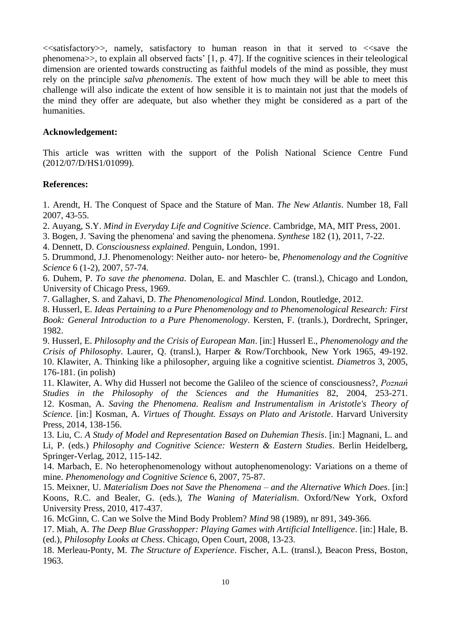$\le$ satisfactory >>, namely, satisfactory to human reason in that it served to  $\le$ save the phenomena>>, to explain all observed facts' [1, p. 47]. If the cognitive sciences in their teleological dimension are oriented towards constructing as faithful models of the mind as possible, they must rely on the principle *salva phenomenis*. The extent of how much they will be able to meet this challenge will also indicate the extent of how sensible it is to maintain not just that the models of the mind they offer are adequate, but also whether they might be considered as a part of the humanities.

## **Acknowledgement:**

This article was written with the support of the Polish National Science Centre Fund (2012/07/D/HS1/01099).

### **References:**

1. Arendt, H. The Conquest of Space and the Stature of Man. *The New Atlantis*. Number 18, Fall 2007, 43-55.

2. Auyang, S.Y. *Mind in Everyday Life and Cognitive Science*. Cambridge, MA, MIT Press, 2001.

3. Bogen, J. 'Saving the phenomena' and saving the phenomena. *Synthese* 182 (1), 2011, 7-22.

4. Dennett, D. *Consciousness explained*. Penguin, London, 1991.

5. Drummond, J.J. Phenomenology: Neither auto- nor hetero- be, *Phenomenology and the Cognitive Science* 6 (1-2), 2007, 57-74.

6. Duhem, P. *To save the phenomena*. Dolan, E. and Maschler C. (transl.), Chicago and London, University of Chicago Press, 1969.

7. Gallagher, S. and Zahavi, D. *The Phenomenological Mind.* London, Routledge, 2012.

8. Husserl, E. *Ideas Pertaining to a Pure Phenomenology and to Phenomenological Research: First Book: General Introduction to a Pure Phenomenology*. Kersten, F. (tranls.), Dordrecht, Springer, 1982.

9. Husserl, E. *Philosophy and the Crisis of European Man*. [in:] Husserl E., *Phenomenology and the Crisis of Philosophy*. Laurer, Q. (transl.), Harper & Row/Torchbook, New York 1965, 49-192. 10. Klawiter, A. Thinking like a philosophe*r*, arguing like a cognitive scientist*. Diametros* 3, 2005, 176-181. (in polish)

11. Klawiter, A. Why did Husserl not become the Galileo of the science of consciousness?, *Poznań Studies in the Philosophy of the Sciences and the Humanities* 82, 2004, 253-271. 12. Kosman, A. *Saving the Phenomena. Realism and Instrumentalism in Aristotle's Theory of Science.* [in:] Kosman, A. *Virtues of Thought. Essays on Plato and Aristotle*. Harvard University Press, 2014, 138-156.

13. Liu, C. *A Study of Model and Representation Based on Duhemian Thesis*. [in:] Magnani, L. and Li, P. (eds.) *Philosophy and Cognitive Science: Western & Eastern Studies*. Berlin Heidelberg, Springer-Verlag, 2012, 115-142.

14. Marbach, E. No heterophenomenology without autophenomenology: Variations on a theme of mine. *Phenomenology and Cognitive Science* 6, 2007, 75-87.

15. Meixner, U. *Materialism Does not Save the Phenomena – and the Alternative Which Does*. [in:] Koons, R.C. and Bealer, G. (eds.), *The Waning of Materialism*. Oxford/New York, Oxford University Press, 2010, 417-437.

16. McGinn, C. Can we Solve the Mind Body Problem? *Mind* 98 (1989), nr 891, 349-366.

17. Miah, A. *The Deep Blue Grasshopper: Playing Games with Artificial Intelligence*. [in:] Hale, B. (ed.), *Philosophy Looks at Chess*. Chicago, Open Court, 2008, 13-23.

18. Merleau-Ponty, M. *The Structure of Experience*. Fischer, A.L. (transl.), Beacon Press, Boston, 1963.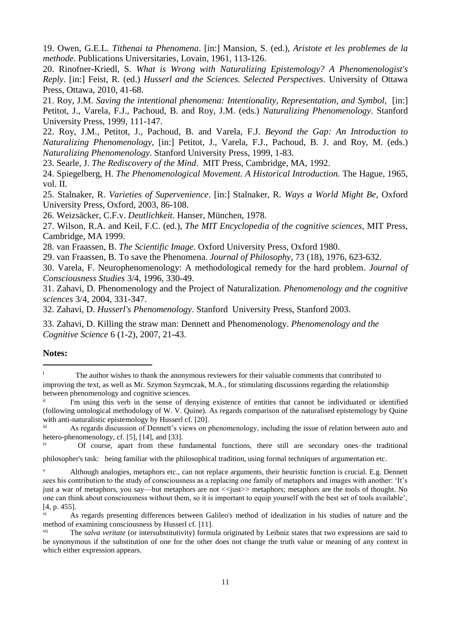19. Owen, G.E.L. *Tithenai ta Phenomena*. [in:] Mansion, S. (ed.), *Aristote et les problemes de la methode*. Publications Universitaries, Lovain, 1961, 113-126.

20. Rinofner-Kriedl, S. *What is Wrong with Naturalizing Epistemology? A Phenomenologist's Reply*. [in:] Feist, R. (ed.) *Husserl and the Sciences. Selected Perspectives*. University of Ottawa Press, Ottawa, 2010, 41-68.

21. Roy, J.M. *Saving the intentional phenomena: Intentionality, Representation, and Symbol*, [in:] Petitot, J., Varela, F.J., Pachoud, B. and Roy, J.M. (eds.) *Naturalizing Phenomenology*. Stanford University Press, 1999, 111-147.

22. Roy, J.M., Petitot, J., Pachoud, B. and Varela, F.J. *Beyond the Gap: An Introduction to Naturalizing Phenomenology*, [in:] Petitot, J., Varela, F.J., Pachoud, B. J. and Roy, M. (eds.) *Naturalizing Phenomenology*. Stanford University Press, 1999, 1-83.

23. Searle, J. *The Rediscovery of the Mind*. MIT Press, Cambridge, MA, 1992.

24. Spiegelberg, H. *The Phenomenological Movement. A Historical Introduction.* The Hague, 1965, vol. II.

25. Stalnaker, R. *Varieties of Supervenience*. [in:] Stalnaker, R. *Ways a World Might Be*, Oxford University Press, Oxford, 2003, 86-108.

26. Weizsäcker, C.F.v. *Deutlichkeit*. Hanser, München, 1978.

27. Wilson, R.A. and Keil, F.C. (ed.), *The MIT Encyclopedia of the cognitive sciences*, MIT Press, Cambridge, MA 1999.

28. van Fraassen, B. *The Scientific Image*. Oxford University Press, Oxford 1980.

29. van Fraassen, B. To save the Phenomena. *Journal of Philosophy*, 73 (18), 1976, 623-632.

30. Varela, F. Neurophenomenology: A methodological remedy for the hard problem. *Journal of Consciousness Studies* 3/4, 1996, 330-49.

31. Zahavi, D. Phenomenology and the Project of Naturalization. *Phenomenology and the cognitive sciences* 3/4, 2004, 331-347.

32. Zahavi, D. *Husserl's Phenomenology*. Stanford University Press, Stanford 2003.

33. Zahavi, D. Killing the straw man: Dennett and Phenomenology. *Phenomenology and the Cognitive Science* 6 (1-2), 2007, 21-43.

#### **Notes:**

-

<sup>&</sup>lt;sup>i</sup> The author wishes to thank the anonymous reviewers for their valuable comments that contributed to improving the text, as well as Mr. Szymon Szymczak, M.A., for stimulating discussions regarding the relationship between phenomenology and cognitive sciences.

I'm using this verb in the sense of denying existence of entities that cannot be individuated or identified (following ontological methodology of W. V. Quine). As regards comparison of the naturalised epistemology by Quine with anti-naturalistic epistemology by Husserl cf. [20].

iii As regards discussion of Dennett's views on phenomenology, including the issue of relation between auto and hetero-phenomenology, cf. [5], [14], and [33].

iv Of course, apart from these fundamental functions, there still are secondary ones–the traditional philosopher's task: being familiar with the philosophical tradition, using formal techniques of argumentation etc.

Although analogies, metaphors etc., can not replace arguments, their heuristic function is crucial. E.g. Dennett sees his contribution to the study of consciousness as a replacing one family of metaphors and images with another: 'It's

just a war of metaphors, you say—but metaphors are not <<just>> metaphors; metaphors are the tools of thought. No one can think about consciousness without them, so it is important to equip yourself with the best set of tools available', [4, p. 455].

vi As regards presenting differences between Galileo's method of idealization in his studies of nature and the method of examining consciousness by Husserl cf. [11].

vii The *salva veritate* (or intersubstitutivity) formula originated by Leibniz states that two expressions are said to be synonymous if the substitution of one for the other does not change the truth value or meaning of any context in which either expression appears.